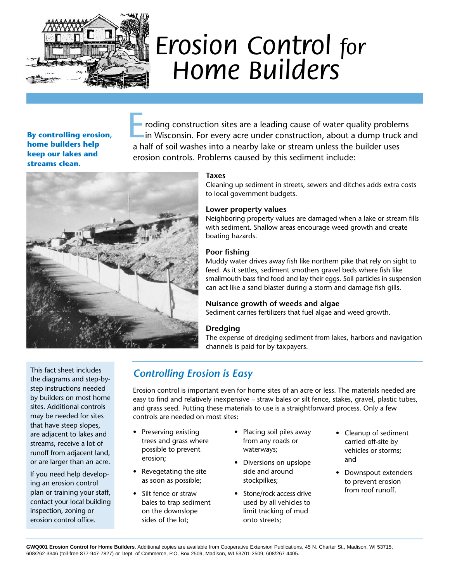

# *Erosion Control for Home Builders*

**By controlling erosion, home builders help keep our lakes and streams clean.**

roding construction sites are a leading cause of water quality problems in Wisconsin. For every acre under construction, about a dump truck and a half of soil washes into a nearby lake or stream unless the builder uses erosion controls. Problems caused by this sediment include:



#### **Taxes**

Cleaning up sediment in streets, sewers and ditches adds extra costs to local government budgets.

#### **Lower property values**

Neighboring property values are damaged when a lake or stream fills with sediment. Shallow areas encourage weed growth and create boating hazards.

#### **Poor fishing**

Muddy water drives away fish like northern pike that rely on sight to feed. As it settles, sediment smothers gravel beds where fish like smallmouth bass find food and lay their eggs. Soil particles in suspension can act like a sand blaster during a storm and damage fish gills.

#### **Nuisance growth of weeds and algae**

Sediment carries fertilizers that fuel algae and weed growth.

#### **Dredging**

The expense of dredging sediment from lakes, harbors and navigation channels is paid for by taxpayers.

This fact sheet includes the diagrams and step-bystep instructions needed by builders on most home sites. Additional controls may be needed for sites that have steep slopes, are adjacent to lakes and streams, receive a lot of runoff from adjacent land, or are larger than an acre.

If you need help developing an erosion control plan or training your staff, contact your local building inspection, zoning or erosion control office.

# *Controlling Erosion is Easy*

Erosion control is important even for home sites of an acre or less. The materials needed are easy to find and relatively inexpensive – straw bales or silt fence, stakes, gravel, plastic tubes, and grass seed. Putting these materials to use is a straightforward process. Only a few controls are needed on most sites:

- Preserving existing trees and grass where possible to prevent erosion;
- Revegetating the site as soon as possible;
- Silt fence or straw bales to trap sediment on the downslope sides of the lot;
- Placing soil piles away from any roads or waterways;
- Diversions on upslope side and around stockpilkes;
- Stone/rock access drive used by all vehicles to limit tracking of mud onto streets;
- Cleanup of sediment carried off-site by vehicles or storms; and
- Downspout extenders to prevent erosion from roof runoff.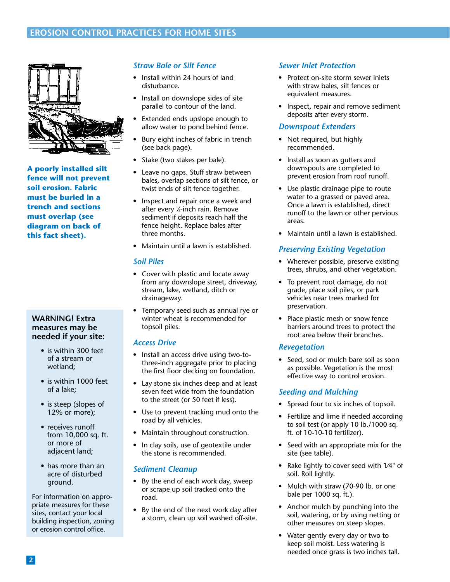

**A poorly installed silt fence will not prevent soil erosion. Fabric must be buried in a trench and sections must overlap (see diagram on back of this fact sheet).**

#### **WARNING! Extra measures may be needed if your site:**

- is within 300 feet of a stream or wetland;
- is within 1000 feet of a lake;
- is steep (slopes of 12% or more);
- receives runoff from 10,000 sq. ft. or more of adjacent land;
- has more than an acre of disturbed ground.

For information on appropriate measures for these sites, contact your local building inspection, zoning or erosion control office.

# *Straw Bale or Silt Fence*

- Install within 24 hours of land disturbance.
- Install on downslope sides of site parallel to contour of the land.
- Extended ends upslope enough to allow water to pond behind fence.
- Bury eight inches of fabric in trench (see back page).
- Stake (two stakes per bale).
- Leave no gaps. Stuff straw between bales, overlap sections of silt fence, or twist ends of silt fence together.
- Inspect and repair once a week and after every 1 ⁄2-inch rain. Remove sediment if deposits reach half the fence height. Replace bales after three months.
- Maintain until a lawn is established.

#### *Soil Piles*

- Cover with plastic and locate away from any downslope street, driveway, stream, lake, wetland, ditch or drainageway.
- Temporary seed such as annual rye or winter wheat is recommended for topsoil piles.

#### *Access Drive*

- Install an access drive using two-tothree-inch aggregate prior to placing the first floor decking on foundation.
- Lay stone six inches deep and at least seven feet wide from the foundation to the street (or 50 feet if less).
- Use to prevent tracking mud onto the road by all vehicles.
- Maintain throughout construction.
- In clay soils, use of geotextile under the stone is recommended.

# *Sediment Cleanup*

- By the end of each work day, sweep or scrape up soil tracked onto the road.
- By the end of the next work day after a storm, clean up soil washed off-site.

#### *Sewer Inlet Protection*

- Protect on-site storm sewer inlets with straw bales, silt fences or equivalent measures.
- Inspect, repair and remove sediment deposits after every storm.

#### *Downspout Extenders*

- Not required, but highly recommended.
- Install as soon as gutters and downspouts are completed to prevent erosion from roof runoff.
- Use plastic drainage pipe to route water to a grassed or paved area. Once a lawn is established, direct runoff to the lawn or other pervious areas.
- Maintain until a lawn is established.

# *Preserving Existing Vegetation*

- Wherever possible, preserve existing trees, shrubs, and other vegetation.
- To prevent root damage, do not grade, place soil piles, or park vehicles near trees marked for preservation.
- Place plastic mesh or snow fence barriers around trees to protect the root area below their branches.

# *Revegetation*

• Seed, sod or mulch bare soil as soon as possible. Vegetation is the most effective way to control erosion.

#### *Seeding and Mulching*

- Spread four to six inches of topsoil.
- Fertilize and lime if needed according to soil test (or apply 10 lb./1000 sq. ft. of 10-10-10 fertilizer).
- Seed with an appropriate mix for the site (see table).
- Rake lightly to cover seed with 1⁄4" of soil. Roll lightly.
- Mulch with straw (70-90 lb. or one bale per 1000 sq. ft.).
- Anchor mulch by punching into the soil, watering, or by using netting or other measures on steep slopes.
- Water gently every day or two to keep soil moist. Less watering is needed once grass is two inches tall.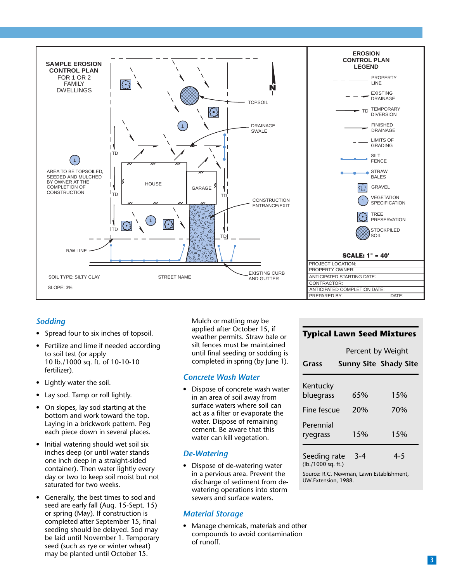

# *Sodding*

- Spread four to six inches of topsoil.
- Fertilize and lime if needed according to soil test (or apply 10 lb./1000 sq. ft. of 10-10-10 fertilizer).
- Lightly water the soil.
- Lay sod. Tamp or roll lightly.
- On slopes, lay sod starting at the bottom and work toward the top. Laying in a brickwork pattern. Peg each piece down in several places.
- Initial watering should wet soil six inches deep (or until water stands one inch deep in a straight-sided container). Then water lightly every day or two to keep soil moist but not saturated for two weeks.
- Generally, the best times to sod and seed are early fall (Aug. 15-Sept. 15) or spring (May). If construction is completed after September 15, final seeding should be delayed. Sod may be laid until November 1. Temporary seed (such as rye or winter wheat) may be planted until October 15.

Mulch or matting may be applied after October 15, if weather permits. Straw bale or silt fences must be maintained until final seeding or sodding is completed in spring (by June 1).

#### *Concrete Wash Water*

• Dispose of concrete wash water in an area of soil away from surface waters where soil can act as a filter or evaporate the water. Dispose of remaining cement. Be aware that this water can kill vegetation.

# *De-Watering*

• Dispose of de-watering water in a pervious area. Prevent the discharge of sediment from dewatering operations into storm sewers and surface waters.

# *Material Storage*

• Manage chemicals, materials and other compounds to avoid contamination of runoff.

# **Typical Lawn Seed Mixtures**

|                                    | Percent by Weight |                              |
|------------------------------------|-------------------|------------------------------|
| <b>Grass</b>                       |                   | <b>Sunny Site Shady Site</b> |
| Kentucky<br>bluegrass              | 65%               | 1.5%                         |
| Fine fescue                        | 20%               | 70%                          |
| Perennial<br>ryegrass              | 15%               | 15%                          |
| Seeding rate<br>(lb./1000 sq. ft.) | $3 - 4$           | $4 - 5$                      |

Source: R.C. Newman, Lawn Establishment, UW-Extension, 1988.